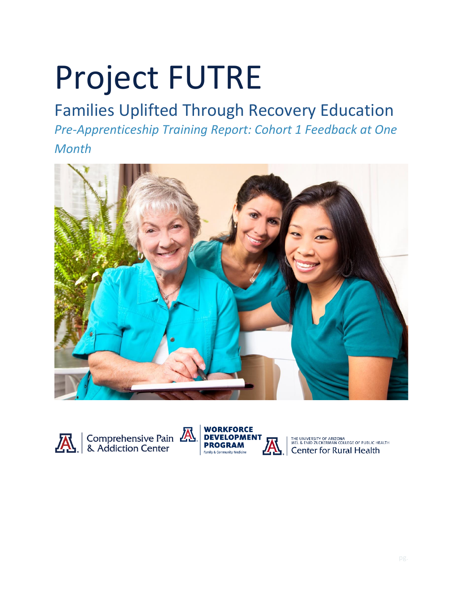# Project FUTRE

# Families Uplifted Through Recovery Education *Pre-Apprenticeship Training Report: Cohort 1 Feedback at One Month*







THE UNIVERSITY OF ARIZONA<br>MEL & ENID ZUCKERMAN COLLEGE OF PUBLIC HEALTH<br>Center for Rural Health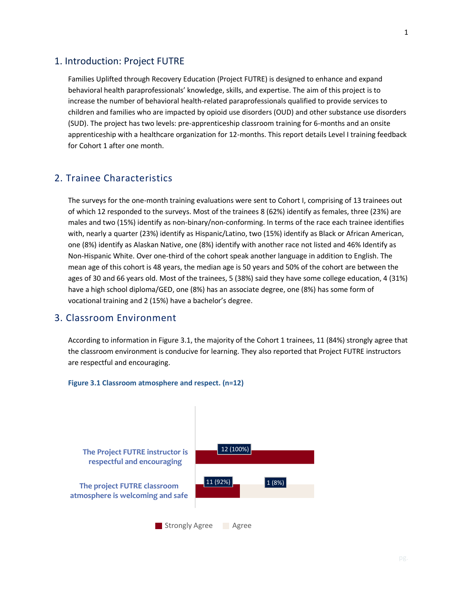### 1. Introduction: Project FUTRE

Families Uplifted through Recovery Education (Project FUTRE) is designed to enhance and expand behavioral health paraprofessionals' knowledge, skills, and expertise. The aim of this project is to increase the number of behavioral health-related paraprofessionals qualified to provide services to children and families who are impacted by opioid use disorders (OUD) and other substance use disorders (SUD). The project has two levels: pre-apprenticeship classroom training for 6-months and an onsite apprenticeship with a healthcare organization for 12-months. This report details Level I training feedback for Cohort 1 after one month.

# 2. Trainee Characteristics

The surveys for the one-month training evaluations were sent to Cohort I, comprising of 13 trainees out of which 12 responded to the surveys. Most of the trainees 8 (62%) identify as females, three (23%) are males and two (15%) identify as non-binary/non-conforming. In terms of the race each trainee identifies with, nearly a quarter (23%) identify as Hispanic/Latino, two (15%) identify as Black or African American, one (8%) identify as Alaskan Native, one (8%) identify with another race not listed and 46% Identify as Non-Hispanic White. Over one-third of the cohort speak another language in addition to English. The mean age of this cohort is 48 years, the median age is 50 years and 50% of the cohort are between the ages of 30 and 66 years old. Most of the trainees, 5 (38%) said they have some college education, 4 (31%) have a high school diploma/GED, one (8%) has an associate degree, one (8%) has some form of vocational training and 2 (15%) have a bachelor's degree.

# 3. Classroom Environment

According to information in Figure 3.1, the majority of the Cohort 1 trainees, 11 (84%) strongly agree that the classroom environment is conducive for learning. They also reported that Project FUTRE instructors are respectful and encouraging.



#### **Figure 3.1 Classroom atmosphere and respect. (n=12)**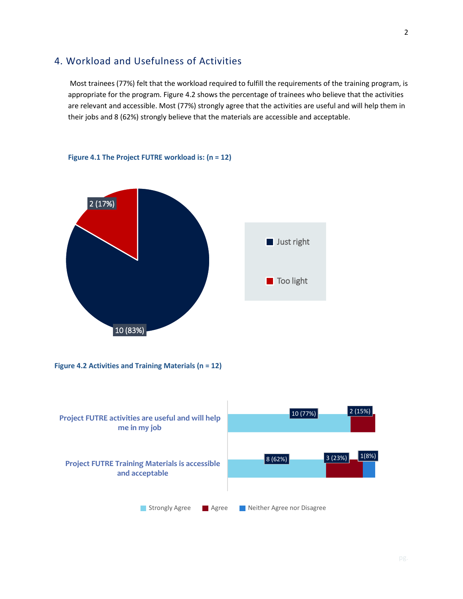# 4. Workload and Usefulness of Activities

Most trainees (77%) felt that the workload required to fulfill the requirements of the training program, is appropriate for the program. Figure 4.2 shows the percentage of trainees who believe that the activities are relevant and accessible. Most (77%) strongly agree that the activities are useful and will help them in their jobs and 8 (62%) strongly believe that the materials are accessible and acceptable.



#### **Figure 4.1 The Project FUTRE workload is: (n = 12)**



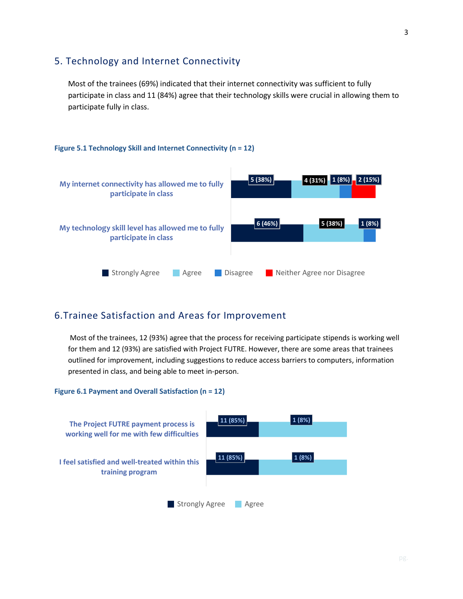# 5. Technology and Internet Connectivity

Most of the trainees (69%) indicated that their internet connectivity was sufficient to fully participate in class and 11 (84%) agree that their technology skills were crucial in allowing them to participate fully in class.

#### **Figure 5.1 Technology Skill and Internet Connectivity (n = 12)**



# 6.Trainee Satisfaction and Areas for Improvement

Most of the trainees, 12 (93%) agree that the process for receiving participate stipends is working well for them and 12 (93%) are satisfied with Project FUTRE. However, there are some areas that trainees outlined for improvement, including suggestions to reduce access barriers to computers, information presented in class, and being able to meet in-person.

#### **Figure 6.1 Payment and Overall Satisfaction (n = 12)**